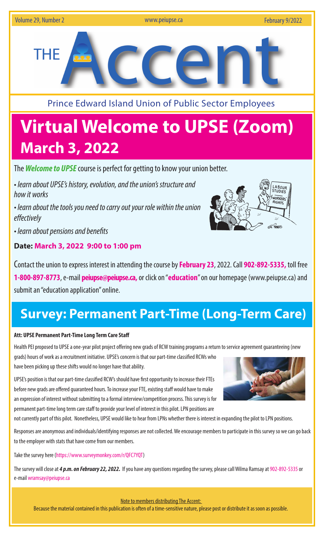

Prince Edward Island Union of Public Sector Employees

# **Virtual Welcome to UPSE (Zoom) March 3, 2022**

The *Welcome to UPSE* course is perfect for getting to know your union better.

• *learn about UPSE's history, evolution, and the union's structure and how it works*

*• learn about the tools you need to carry out your role within the union effectively*

*• learn about pensions and benefits* 

### **Date: March 3, 2022 9:00 to 1:00 pm**



## **Survey: Permanent Part-Time (Long-Term Care)**

#### **Att: UPSE Permanent Part-Time Long Term Care Staff**

Health PEI proposed to UPSE a one-year pilot project offering new grads of RCW training programs a return to service agreement guaranteeing (new grads) hours of work as a recruitment initiative. UPSE's concern is that our part-time classified RCWs who have been picking up these shifts would no longer have that ability.

UPSE's position is that our part-time classified RCW's should have first opportunity to increase their FTEs before new grads are offered guaranteed hours. To increase your FTE, existing staff would have to make an expression of interest without submitting to a formal interview/competition process. This survey is for permanent part-time long term care staff to provide your level of interest in this pilot. LPN positions are

not currently part of this pilot. Nonetheless, UPSE would like to hear from LPNs whether there is interest in expanding the pilot to LPN positions.

Responses are anonymous and individuals/identifying responses are not collected. We encourage members to participate in this survey so we can go back to the employer with stats that have come from our members.

Take the survey here (https://www.surveymonkey.com/r/QFC7YQT)

The survey will close at *4 p.m. on February 22, 2022.* If you have any questions regarding the survey, please call Wilma Ramsay at 902-892-5335 or e-mail wramsay@peiupse.ca



Note to members distributing The Accent:

Because the material contained in this publication is often of a time-sensitive nature, please post or distribute it as soon as possible.